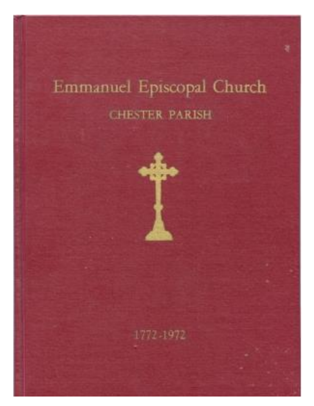# Emmanuel Episcopal Church **CHESTER PARISH**

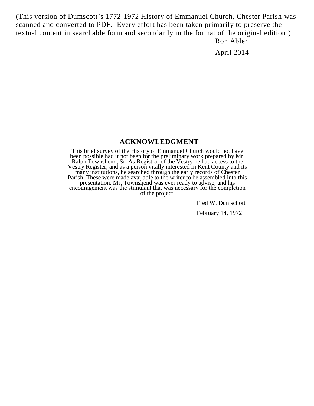(This version of Dumscott's 1772-1972 History of Emmanuel Church, Chester Parish was scanned and converted to PDF. Every effort has been taken primarily to preserve the textual content in searchable form and secondarily in the format of the original edition.) Ron Abler

April 2014

#### **ACKNOWLEDGMENT**

This brief survey of the History of Emmanuel Church would not have been possible had it not been for the preliminary work prepared by Mr. Ralph Townshend, Sr. As Registrar of the Vestry he had access to the Vestry Register, and as a person vitally interested in Kent County and its many institutions, he searched through the early records of Chester Parish. These were made available to the writer to be assembled into this presentation. Mr. Townshend was ever ready to advise, and his encouragement was the stimulant that was necessary for the completion of the project.

Fred W. Dumschott

February 14, 1972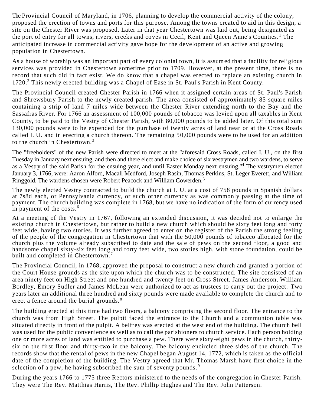The Provincial Council of Maryland, in 1706, planning to develop the commercial activity of the colony, proposed the erection of towns and ports for this purpose. Among the towns created to aid in this design, a site on the Chester River was proposed. Later in that year Chestertown was laid out, being designated as the port of entry for all towns, rivers, creeks and coves in Cecil, Kent and Queen Anne's Counties.<sup>1</sup> The anticipated increase in commercial activity gave hope for the development of an active and growing population in Chestertown.

As a house of worship was an important part of every colonial town, it is assumed that a facility for religious services was provided in Chestertown sometime prior to 1709. However, at the present time, there is no record that such did in fact exist. We do know that a chapel was erected to replace an existing church in 1720.<sup>2</sup> This newly erected building was a Chapel of Ease in St. Paul's Parish in Kent County.

The Provincial Council created Chester Parish in 1766 when it assigned certain areas of St. Paul's Parish and Shrewsbury Parish to the newly created parish. The area consisted of approximately 85 square miles containing a strip of land 7 miles wide between the Chester River extending north to the Bay and the Sassafras River. For 1766 an assessment of 100,000 pounds of tobacco was levied upon all taxables in Kent County, to be paid to the Vestry of Chester Parish, with 80,000 pounds to be added later. Of this total sum 130,000 pounds were to be expended for the purchase of twenty acres of land near or at the Cross Roads called I. U. and in erecting a church thereon. The remaining 50,000 pounds were to be used for an addition to the church in Chestertown.<sup>3</sup>

The "freeholders" of the new Parish were directed to meet at the "aforesaid Cross Roads, called I. U., on the first Tuesday in January next ensuing, and then and there elect and make choice of six vestrymen and two wardens, to serve as a Vestry of the said Parish for the ensuing year, and until Easter Monday next ensuing."<sup>4</sup> The vestrymen elected January 3, 1766, were: Aaron Alford, Macall Medford, Joseph Rasin, Thomas Perkins, St. Leger Everett, and William Ringgold. The wardens chosen were Robert Peacock and William Cowerden.<sup>5</sup>

The newly elected Vestry contracted to build the church at I. U. at a cost of 758 pounds in Spanish dollars at 7s8d each, or Pennsylvania currency, or such other currency as was commonly passing at the time of payment. The church building was complete in 1768, but we have no indication of the form of currency used in payment of the costs.<sup>6</sup>

At a meeting of the Vestry in 1767, following an extended discussion, it was decided not to enlarge the existing church in Chestertown, but rather to build a new church which should be sixty feet long and forty feet wide, having two stories. It was further agreed to enter on the register of the Parish the strong feeling of the people of the congregation in Chestertown that with the 50,000 pounds of tobacco allocated for the church plus the volume already subscribed to date and the sale of pews on the second floor, a good and handsome chapel sixty-six feet long and forty feet wide, two stories high, with stone foundation, could be built and completed in Chestertown.<sup>7</sup>

The Provincial Council, in 1768, approved the proposal to construct a new church and granted a portion of the Court House grounds as the site upon which the church was to be constructed. The site consisted of an area ninety feet on High Street and one hundred and twenty feet on Cross Street. James Anderson, William Bordley, Emory Sudler and James McLean were authorized to act as trustees to carry out the project. Two years later an additional three hundred and sixty pounds were made available to complete the church and to erect a fence around the burial grounds.<sup>8</sup>

The building erected at this time had two floors, a balcony comprising the second floor. The entrance to the church was from High Street. The pulpit faced the entrance to the Church and a communion table was situated directly in front of the pulpit. A belfrey was erected at the west end of the building. The church bell was used for the public convenience as well as to call the parishioners to church service. Each person holding one or more acres of land was entitled to purchase a pew. There were sixty-eight pews in the church, thirtysix on the first floor and thirty-two in the balcony. The balcony encircled three sides of the church. The records show that the rental of pews in the new Chapel began August 14, 1772, which is taken as the official date of the completion of the building. The Vestry agreed that Mr. Thomas Marsh have first choice in the selection of a pew, he having subscribed the sum of seventy pounds.<sup>9</sup>

During the years 1766 to 1775 three Rectors ministered to the needs of the congregation in Chester Parish. They were The Rev. Matthias Harris, The Rev. Phillip Hughes and The Rev. John Patterson.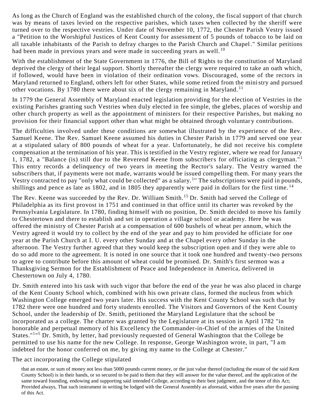As long as the Church of England was the established church of the colony, the fiscal support of that church was by means of taxes levied on the respective parishes, which taxes when collected by the sheriff were turned over to the respective vestries. Under date of November 10, 1772, the Chester Parish Vestry issued a "Petition to the Worshipful Justices of Kent County for assessment of 5 pounds of tobacco to be laid on all taxable inhabitants of the Parish to defray charges to the Parish Church and Chapel." Similar petitions had been made in previous years and were made in succeeding years as well.<sup>10</sup>

With the establishment of the State Government in 1776, the Bill of Rights to the constitution of Maryland deprived the clergy of their legal support. Shortly thereafter the clergy were required to take an oath which, if followed, would have been in violation of their ordination vows. Discouraged, some of the rectors in Maryland returned to England, others left for other States, while some retired from the ministry and pursued other vocations. By 1780 there were about six of the clergy remaining in Maryland.<sup>11</sup>

In 1779 the General Assembly of Maryland enacted legislation providing for the election of Vestries in the existing Parishes granting such Vestries when duly elected in fee simple, the glebes, places of worship and other church property as well as the appointment of ministers for their respective Parishes, but making no provision for their financial support other than what might be obtained through voluntary contributions.

The difficulties involved under these conditions are somewhat illustrated by the experience of the Rev. Samuel Keene. The Rev. Samuel Keene assumed his duties in Chester Parish in 1779 and served one year at a stipulated salary of 800 pounds of wheat for a year. Unfortunately, he did not receive his complete compensation at the termination of his year. This is testified in the Vestry register, where we read for January 1, 1782, a "Balance (is) still due to the Reverend Keene from subscribers for officiating as clergyman."<sup>1</sup> This entry records a delinquency of two years in meeting the Rector's salary. The Vestry warned the subscribers that, if payments were not made, warrants would be issued compelling them. For many years the Vestry contracted to pay "only what could be collected" as a salary.<sup>1</sup>" The subscriptions were paid in pounds, shillings and pence as late as 1802, and in 1805 they apparently were paid in dollars for the first time.<sup>14</sup>

The Rev. Keene was succeeded by the Rev. Dr. William Smith.<sup>15</sup> Dr. Smith had served the College of Philadelphia as its first provost in 1751 and continued in that office until its charter was revoked by the Pennsylvania Legislature. In 1780, finding himself with no position, Dr. Smith decided to move his family to Chestertown and there to establish and set in operation a village school or academy. Here he was offered the ministry of Chester Parish at a compensation of 600 bushels of wheat per annum, which the Vestry agreed it would try to collect by the end of the year and pay to him provided he officiate for one year at the Parish Church at I. U. every other Sunday and at the Chapel every other Sunday in the afternoon. The Vestry further agreed that they would keep the subscription open and if they were able to do so add more to the agreement. It is noted in one source that it took one hundred and twenty-two persons to agree to contribute before this amount of wheat could be promised. Dr. Smith's first sermon was a Thanksgiving Sermon for the Establishment of Peace and Independence in America, delivered in Chestertown on July 4, 1780.

Dr. Smith entered into his task with such vigor that before the end of the year he was also placed in charge of the Kent County School which, combined with his own private class, formed the nucleus from which Washington College emerged two years later. His success with the Kent County School was such that by 1782 there were one hundred and forty students enrolled. The Visitors and Governors of the Kent County School, under the leadership of Dr. Smith, petitioned the Maryland Legislature that the school be incorporated as a college. The charter was granted by the Legislature at its session in April 1782 "in honorable and perpetual memory of his Excellency the Commander-in-Chief of the armies of the United States."<sup>1</sup>"<sup>5</sup> Dr. Smith, by letter, had previously requested of General Washington that the College be permitted to use his name for the new College. In response, George Washington wrote, in part, "I am indebted for the honor conferred on me, by giving my name to the College at Chester."

#### The act incorporating the College stipulated

that an estate, or sum of money not less than 5000 pounds current money, or the just value thereof (including the estate of the said Kent County School) is in their hands, or so secured to be paid to them that they will answer for the value thereof, and the application of the same toward founding, endowing and supporting said intended College, according to their best judgment, and the tenor of this Act; Provided always, That such instrument in writing be lodged with the General Assembly as aforesaid, within five years after the passing of this Act.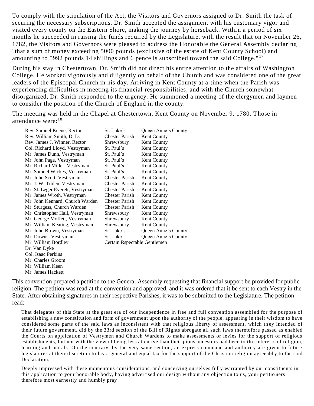To comply with the stipulation of the Act, the Visitors and Governors assigned to Dr. Smith the task of securing the necessary subscriptions. Dr. Smith accepted the assignment with his customary vigor and visited every county on the Eastern Shore, making the journey by horseback. Withi n a period of six months he succeeded in raising the funds required by the Legislature, with the result that on November 26, 1782, the Visitors and Governors were pleased to address the Honorable the General Assembly declaring "that a sum of money exceeding 5000 pounds (exclusive of the estate of Kent County School) and amounting to 5992 pounds 14 shillings and 6 pence is subscribed toward the said College."<sup>17</sup>

During his stay in Chestertown, Dr. Smith did not direct his entire attention to the affairs of Washington College. He worked vigorously and diligently on behalf of the Church and was considered one of the great leaders of the Episcopal Church in his day. Arriving in Kent County at a time when the Parish was experiencing difficulties in meeting its financial responsibilities, and with the Church somewhat disorganized, Dr. Smith responded to the urgency. He summoned a meeting of the clergymen and laymen to consider the position of the Church of England in the county.

The meeting was held in the Chapel at Chestertown, Kent County on November 9, 1780. Those in attendance were:<sup>18</sup>

| Rev. Samuel Keene, Rector        | St. Luke's                   | Queen Anne's County |
|----------------------------------|------------------------------|---------------------|
| Rev. William Smith, D. D.        | <b>Chester Parish</b>        | <b>Kent County</b>  |
| Rev. James J. Winner, Rector     | Shrewsbury                   | <b>Kent County</b>  |
| Col. Richard Lloyd, Vestryman    | St. Paul's                   | Kent County         |
| Mr. James Dunn, Vestryman        | St. Paul's                   | <b>Kent County</b>  |
| Mr. John Page, Vestryman         | St. Paul's                   | <b>Kent County</b>  |
| Mr. Richard Miller, Vestryman    | St. Paul's                   | <b>Kent County</b>  |
| Mr. Samuel Wickes, Vestryman     | St. Paul's                   | Kent County         |
| Mr. John Scott, Vestryman        | <b>Chester Parish</b>        | <b>Kent County</b>  |
| Mr. J. W. Tilden, Vestryman      | <b>Chester Parish</b>        | Kent County         |
| Mr. St. Leger Everett, Vestryman | <b>Chester Parish</b>        | Kent County         |
| Mr. James Wroth, Vestryman       | <b>Chester Parish</b>        | <b>Kent County</b>  |
| Mr. John Kennard, Church Warden  | <b>Chester Parish</b>        | Kent County         |
| Mr. Sturgess, Church Warden      | <b>Chester Parish</b>        | <b>Kent County</b>  |
| Mr. Christopher Hall, Vestryman  | Shrewsbury                   | Kent County         |
| Mr. George Moffett, Vestryman    | Shrewsbury                   | <b>Kent County</b>  |
| Mr. William Keating, Vestryman   | Shrewsbury                   | <b>Kent County</b>  |
| Mr. John Brown, Vestryman        | St. Luke's                   | Queen Anne's County |
| Mr. Downs, Vestryman             | St. Luke's                   | Queen Anne's County |
| Mr. William Bordley              | Certain Rspectable Gentlemen |                     |
| Dr. Van Dyke                     |                              |                     |
| Col. Isaac Perkins               |                              |                     |
| Mr. Charles Groom                |                              |                     |
| Mr. William Keen                 |                              |                     |

Mr. James Hackett

This convention prepared a petition to the General Assembly requesting that financial support be provided for public religion. The petition was read at the convention and approved, and it was ordered that it be sent to each Vestry in the State. After obtaining signatures in their respective Parishes, it was to be submitted to the Legislature. The petition read:

That delegates of this State at the great era of our independence in free and full convention assembl ed for the purpose of establishing a new constitution and form of government upon the authority of the people, appearing in their wisdom to have considered some parts of the said laws as inconsistent with that religious liberty of assessment, which they intended of their future government, did by the 33rd section of the Bill of Rights abrogate all such laws theretofore passed as enabled the Courts on application of Vestrymen and Church Wardens to make assessments or levies for the support of religious establishments, but not with the view of being less attentive than their pious ancestors had been to the interests of religion, learning and morals. On the contrary, by the very same section, an express command and authority are given to future legislatures at their discretion to lay a general and equal tax for the support of the Christian religion agreeabl y to the said Declaration.

Deeply impressed with these momentous considerations, and conceiving ourselves fully warranted by our constituents in this application to your honorable body, having advertised our design without any objection to us, your petitio ners therefore most earnestly and humbly pray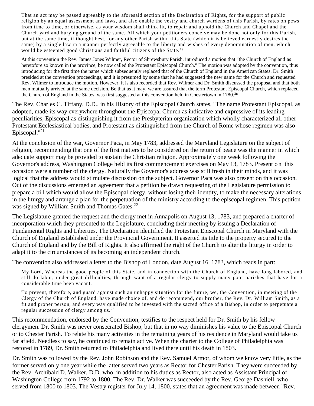That an act may be passed agreeably to the aforesaid section of the Declaration of Rights, for the support of public religion by an equal assessment and laws, and also enable the vestry and church wardens of t his Parish, by rates on pews from time to time, or otherwise, as your wisdom shall think fit, to repair and uphold the Church and Chapel and the Church yard and burying ground of the same. All which your petitioners conceive may be done not only for this P arish, but at the same time, if thought best, for any other Parish within this State (which it is believed earnestly desires the same) by a single law in a manner perfectly agreeable to the liberty and wishes of every denomination of men, which would be esteemed good Christians and faithful citizens of the State. <sup>19</sup>

At this convention the Rev. James Jones Wilmer, Rector of Shrewsbury Parish, introduced a motion that "the Church of England as heretofore so known in the province, be now called the Protestant Episcopal Church." The motion was adopted by the convention, thus introducing for the first time the name which subsequently replaced that of the Church of England in the American States. Dr. Smith presided at the convention proceedings, and it is presumed by some that he had suggested the new name for the Church and requested Rev. Wilmer to introduce the motion. However, it is also recorded that Rev. Wilmer and Dr. Smith discussed the proposal and that both men mutually arrived at the same decision. Be that as it may, we are assured that the term Protestant Episcopal Church, which replaced the Church of England in the States, was first suggested at this convention held in Chestertown in 1780.<sup>2n</sup>

The Rev. Charles C. Tiffany, D.D., in his History of the Episcopal Church states, "The name Protestant Episcopal, as adopted, made its way everywhere throughout the Episcopal Church as indicative and expressive of its leading peculiarities, Episcopal as distinguishing it from the Presbyterian organization which wholly characterized all other Protestant Ecclesiastical bodies, and Protestant as distinguished from the Church of Rome whose regimen was also Episcopal." $^{21}$ 

At the conclusion of the war, Governor Paca, in May 1783, addressed the Maryland Legislature on the subject of religion, recommending that one of the first matters to be considered on the return of peace was the manner in which adequate support may be provided to sustain the Christian religion. Approximately one week following the Governor's address, Washington College held its first commencement exercises on May 13, 1783. Present on this occasion were a number of the clergy. Naturally the Governor's address was still fresh in their minds, and it was logical that the address would stimulate discussion on the subject. Governor Paca was also present on this occasion. Out of the discussions emerged an agreement that a petition be drawn requesting of the Legislature permission to prepare a bill which would allow the Episcopal clergy, without losing their identity, to make the necessary alterations in the liturgy and arrange a plan for the perpetuation of the ministry according to the episcopal regimen. This petition was signed by William Smith and Thomas Gates.<sup>22</sup>

The Legislature granted the request and the clergy met in Annapolis on August 13, 1783, and prepared a charter of incorporation which they presented to the Legislature, concluding their meeting by issuing a Declaration of Fundamental Rights and Liberties. The Declaration identified the Protestant Episcopal Church in Maryland with the Church of England established under the Provincial Government. It asserted its title to the property secured to the Church of England and by the Bill of Rights. It also affirmed the right of the Church to alter the liturgy in order to adapt it to the circumstances of its becoming an independent church.

The convention also addressed a letter to the Bishop of London, date August 16, 1783, which reads in part:

My Lord, Whereas the good people of this State, and in connec tion with the Church of England, have long labored, and still do labor, under great difficulties, through want of a regular clergy to supply many poor parishes that have for a considerable time been vacant.

To prevent, therefore, and guard against such an unhappy situation for the future, we, the Convention, in meeting of the Clergy of the Church of England, have made choice of, and do recommend, our brother, the Rev. Dr. William Smith, as a fit and proper person, and every way qualified to be invested with the sacred office of a Bishop, in order to perpetuate a regular succession of clergy among us. <sup>23</sup>

This recommendation, endorsed by the Convention, testifies to the respect held for Dr. Smith by his fellow clergymen. Dr. Smith was never consecrated Bishop, but that in no way diminishes his value to the Episcopal Church or to Chester Parish. To relate his many activities in the remaining years of his residence in Maryland would take us far afield. Needless to say, he continued to remain active. When the charter to the College of Philadelphia was restored in 1789, Dr. Smith returned to Philadelphia and lived there until his death in 1803.

Dr. Smith was followed by the Rev. John Robinson and the Rev. Samuel Armor, of whom we know very little, as the former served only one year while the latter served two years as Rector for Chester Parish. They were succeeded by the Rev. Archibald D. Walker, D.D. who, in addition to his duties as Rector, also acted as Assistant Principal of Washington College from 1792 to 1800. The Rev. Dr. Walker was succeeded by the Rev. George Dashiell, who served from 1800 to 1803. The Vestry register for July 14, 1800, states that an agreement was made between "Rev.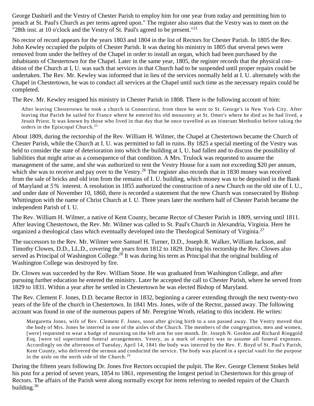George Dashiell and the Vestry of Chester Parish to employ him for one year from today and permitting him to preach at St. Paul's Church as per terms agreed upon." The register also states that the Vestry was to meet on the "28th inst. at 10 o'clock and the Vestry of St. Paul's agreed to be present."<sup>21</sup>

No rector of record appears for the years 1803 and 1804 in the list of Rectors for Chester Parish. In 1805 the Rev. John Kewley occupied the pulpits of Chester Parish. It was during his ministry in 1805 that several pews were removed from under the belfrey of the Chapel in order to install an organ, which had been purchased by the inhabitants of Chestertown for the Chapel. Later in the same year, 1805, the register records that the physical condition of the Church at I, U. was such that services in that Church had to be suspended until proper repairs could be undertaken. The Rev. Mr. Kewley was informed that in lieu of the services normally held at I. U. alternately with the Chapel in Chestertown, he was to conduct all services at the Chapel until such time as the necessary repairs could be completed.

The Rev. Mr. Kewley resigned his ministry in Chester Parish in 1808. There is the following account of him:

After leaving Chestertown he took a church in Connecticut, from there he went to St. George's in New York City. After leaving that Parish he sailed for France where he entered his old monastery at St. Omer's where he died as he had lived, a Jesuit Priest. It was known by those who lived in that day that he once travelled as an itinerant Methodist before taking the orders in the Episcopal Church. <sup>25</sup>

About 1809, during the rectorship of the Rev. William H. Wilmer, the Chapel at Chestertown became the Church of Chester Parish, while the Church at I. U. was permitted to fall in ruins. By 1825 a special meeting of the Vestry was held to consider the state of deterioration into which the building at I, U. had fallen and to discuss the possibility of liabilities that might arise as a consequence of that condition. A Mrs. Trulock was requested to assume the management of the same, and she was authorized to rent the Vestry House for a sum not exceeding \$20 per annum, which she was to receive and pay over to the Vestry.<sup>26</sup> The register also records that in 1830 money was received from the sale of bricks and old iron from the remains of I. U. building, which money was to be deposited in the Bank of Maryland at *5 %* interest. A resolution in 1855 authorized the construction of a new Church on the old site of I. U., and under date of November 10, 1860, there is recorded a statement that the new Church was consecrated by Bishop Whittington with the name of Christ Church at I. U. Three years later the northern half of Chester Parish became the independent Parish of I. U.

The Rev. William H. Wilmer, a native of Kent County, became Rector of Chester Parish in 1809, serving until 1811. After leaving Chestertown, the Rev. Mr. Wilmer was called to St. Paul's Church in Alexandria, Virginia. Here he organized a theological class which eventually developed into the Theological Seminary of Virginia.<sup>27</sup>

The successors to the Rev. Mr. Wilmer were Samuel H. Turner, D.D., Joseph R. Walker, William Jackson, and Timothy Clowes, D.D., LL.D., covering the years from 1812 to 1829. During his rectorship the Rev. Clowes also served as Principal of Washington College.<sup>28</sup> It was during his term as Principal that the original building of Washington College was destroyed by fire.

Dr. Clowes was succeeded by the Rev. William Stone. He was graduated from Washington College, and after pursuing further education he entered the ministry. Later he accepted the call to Chester Parish, where he served from 1829 to 1831. Within a year after he settled in Chestertown he was elected Bishop of Maryland.

The Rev. Clement F. Jones, D.D. became Rector in 1832, beginning a career extending through the next twenty-two years of the life of the church in Chestertown. In 1841 Mrs. Jones, wife of the Rector, passed away. The following account was found in one of the numerous papers of Mr. Peregrine Wroth, relating to this incident. He writes:

Margaretta Jones, wife of Rev. Clement F. Jones, soon after giving birth to a son passed away. The Vestry moved that the body of Mrs. Jones be interred in one of the aisles of the Church. The members of the congregation, men and women, [were] requested to wear a badge of mourning on the left arm for one month. Dr. Joseph N. Gordon and Richard Ringgold Esq. [were to] superintend funeral arrangements. Vestry, as a mark of respect was to assume all funeral expenses. Accordingly on the afternoon of Tuesday, April 14, 1841 the body was interred by the Rev. F. Boyd of St. Paul's Parish, Kent County, who delivered the sermon and conducted the service. The body was placed in a special vault for the purpose in the aisle on the north side of the Church. <sup>29</sup>

During the fifteen years following Dr. Jones five Rectors occupied the pulpit. The Rev. George Clement Stokes held his post for a period of seven years, 1854 to 1861, representing the longest period in Chestertown for this group of Rectors. The affairs of the Parish went along normally except for items referring to needed repairs of the Church building.<sup>30</sup>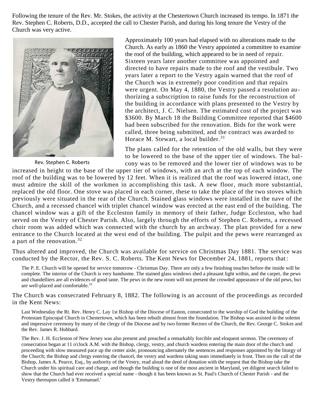Following the tenure of the Rev. Mr. Stokes, the activity at the Chestertown Church increased its tempo. In 1871 the Rev. Stephen C. Roberts, D.D., accepted the call to Chester Parish, and during his long tenure the Vestry of the Church was very active.



Rev. Stephen C. Roberts

Approximately 100 years had elapsed with no alterations made to the Church. As early as 1860 the Vestry appointed a committee to examine the roof of the building, which appeared to be in need of repair. Sixteen years later another committee was appointed and directed to have repairs made to the roof and the vestibule. Two years later a report to the Vestry again warned that the roof of the Church was in extremely poor condition and that repairs were urgent. On May 4, 1880, the Vestry passed a resolution authorizing a subscription to raise funds for the reconstruction of the building in accordance with plans presented to the Vestry by the architect, J. C. Nielsen. The estimated cost of the project was \$3600. By March 18 the Building Committee reported that \$4600 had been subscribed for the renovation. Bids for the work were called, three being submitted, and the contract was awarded to Horace M. Stewart, a local builder. $31$ 

The plans called for the retention of the old walls, but they were to be lowered to the base of the upper tier of windows. The balcony was to be removed and the lower tier of windows was to be

increased in height to the base of the upper tier of windows, with an arch at the top of each window. The roof of the building was to be lowered by 12 feet. When it is realized that the roof was lowered intact, one must admire the skill of the workmen in accomplishing this task. A new floor, much more substantial, replaced the old floor. One stove was placed in each corner, these to take the place of the two stoves which previously were situated in the rear of the Church. Stained glass windows were installed in the nave of the Church, and a recessed chancel with triplet chancel window was erected at the east end of the building. The chancel window was a gift of the Eccleston family in memory of their father, Judge Eccleston, who had served on the Vestry of Chester Parish. Also, largely through the efforts of Stephen C. Roberts, a recessed choir room was added which was connected with the church by an archway. The plan provided for a new entrance to the Church located at the west end of the building. The pulpit and the pews were rearranged as a part of the renovation.<sup>32</sup>

Thus altered and improved, the Church was available for service on Christmas Day 1881. The service was conducted by the Rector, the Rev. S. C. Roberts. The Kent News for December 24, 1881, reports that :

The P. E. Church will be opened for service tomorrow - Christmas Day. There are only a few finishing touches before the inside will be complete. The interior of the Church is very handsome. The stained glass windows shed a pleasant light within, and the carpet, the pews and chandelliers are all evidences of good taste. The pews in the new room will not present the crowded appearance of the old pews, but are well-placed and comfortable.<sup>33</sup>

The Church was consecrated February 8, 1882. The following is an account of the proceedin gs as recorded in the Kent News:

Last Wednesday the Rt. Rev. Henry C. Lay 1st Bishop of the Diocese of Easton, consecrated to the worship of God the building of the Protestant Episcopal Church in Chestertown, which has been rebuilt almost from the foundation. The Bishop was assisted in the solemn and impressive ceremony by many of the clergy of the Diocese and by two former Rectors of the Church, the Rev. George C. Stokes and the Rev. James R. Hubbard.

The Rev. J. H. Eccleston of New Jersey was also present and preached a remarkably forcible and eloquent sermon. The ceremony of consecration began at 11 o'clock A.M. with the Bishop, clergy, vestry, and church wardens entering the main door of the church and proceeding with slow measured pace up the center aisle, pronouncing alternately the sentences and responses appointed by the liturgy of the Church; the Bishop and clergy entering the chancel, the vestry and wardens taking seats immediately in front. Then on the call of the Bishop, James A. Pearce, Esq., by authority of the Vestry, read aloud the deed of donation with the request that the Bishop take the Church under his spiritual care and charge, and though the building is one of the most ancient in Maryland, yet diligent search failed to show that the Church had ever received a special name - though it has been known as St. Paul's Church of Chester Parish - and the Vestry thereupon called it 'Emmanuel.'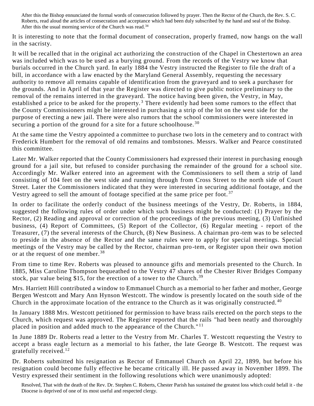After this the Bishop ennunciated the formal words of consecration followed by prayer. Then the Rector of the Church, the Rev. S. C. Roberts, read aloud the articles of consecration and acceptance which had been duly subscribed by the hand and seal of the Bishop. After this the usual morning service of the Church was read.<sup>34</sup>

It is interesting to note that the formal document of consecration, properly framed, now hangs on the wall in the sacristy.

It will be recalled that in the original act authorizing the construction of the Chapel in Chestertown an area was included which was to be used as a burying ground. From the records of the Vestry we know that burials occurred in the Church yard. In early 1884 the Vestry instructed the Register to file the draft of a bill, in accordance with a law enacted by the Maryland General Assembly, requesting the necessary authority to remove all remains capable of identification from the graveyard and to seek a purchaser for the grounds. And in April of that year the Register was directed to give public notice preliminary to the removal of the remains interred in the graveyard. The notice having been given, the Vestry, in May, established a price to be asked for the property.<sup>3</sup> There evidently had been some rumors to the effect that the County Commissioners might be interested in purchasing a strip of the lot on the west side for the purpose of erecting a new jail. There were also rumors that the school commissioners were interested in securing a portion of the ground for a site for a future schoolhouse.<sup>30</sup>

At the same time the Vestry appointed a committee to purchase two lots in the cemetery and to contract with Frederick Humbert for the removal of old remains and tombstones. Messrs. Walker and Pearce constituted this committee.

Later Mr. Walker reported that the County Commissioners had expressed their interest in purchasing enough ground for a jail site, but refused to consider purchasing the remainder of the ground for a school site. Accordingly Mr. Walker entered into an agreement with the Commissioners to sell them a strip of land consisting of 104 feet on the west side and running through from Cross Street to the north side of Court Street. Later the Commissioners indicated that they were interested in securing additional footage, and the Vestry agreed to sell the amount of footage specified at the same price per foot.<sup>37</sup>

In order to facilitate the orderly conduct of the business meetings of the Vestry, Dr. Roberts, in 1884, suggested the following rules of order under which such business might be conducted: (1) Prayer by the Rector, (2) Reading and approval or correction of the proceedings of the previous meeting, (3) Unfinished business, (4) Report of Committees, (5) Report of the Collector, (6) Regular meeting - report of the Treasurer, (7) the several interests of the Church, (8) New Business. A chairman pro -tem was to be selected to preside in the absence of the Rector and the same rules were to apply for special meetings. Special meetings of the Vestry may be called by the Rector, chairman pro-tem, or Register upon their own motion or at the request of one member.<sup>38</sup>

From time to time Rev. Roberts was pleased to announce gifts and memorials presented to the Church. In 1885, Miss Caroline Thompson bequeathed to the Vestry 47 shares of the Chester River Bridges Company stock, par value being \$15, for the erection of a tower to the Church.<sup>39</sup>

Mrs. Harriett Hill contributed a window to Emmanuel Church as a memorial to her father and mother, George Bergen Westcott and Mary Ann Hynson Westcott. The window is presently located on the south side of the Church in the approximate location of the entrance to the Church as it was originally constructed. <sup>40</sup>

In January 1888 Mrs. Westcott petitioned for permission to have brass rails erected on the porch steps to the Church, which request was approved. The Register reported that the rails "had been neatly and thoroughly placed in position and added much to the appearance of the Church."<sup>11</sup>

In June 1889 Dr. Roberts read a letter to the Vestry from Mr. Charles T. Westcott requesting the Vestry to accept a brass eagle lecturn as a memorial to his father, the late George B. Westcott. The request was gratefully received.<sup>12</sup>

Dr. Roberts submitted his resignation as Rector of Emmanuel Church on April 22, 1899, but before his resignation could become fully effective he became critically ill. He passed away in November 1899. The Vestry expressed their sentiment in the following resolutions which were unanimously adopted:

Resolved, That with the death of the Rev. Dr. Stephen C. Roberts, Chester Parish has sustained the greatest loss which could befall it - the Diocese is deprived of one of its most useful and respected clergy.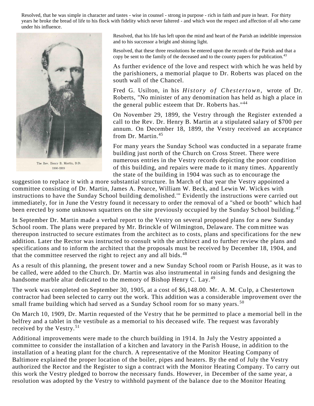Resolved, that he was simple in character and tastes - wise in counsel - strong in purpose - rich in faith and pure in heart. For thirty years he broke the bread of life to his flock with fidelity which never faltered - and which won the respect and affection of all who came under his influence.



The Rev. Henry B. Martin, D.D. 1900-1919

Resolved, that his life has left upon the mind and heart of the Parish an indelible impression and to his successor a bright and shining light.

Resolved, that these three resolutions be entered upon the records of the Parish and that a copy be sent to the family of the deceased and to the county papers for publication.<sup>43</sup>

As further evidence of the love and respect with which he was held by the parishioners, a memorial plaque to Dr. Roberts was placed on the south wall of the Chancel.

Fred G. Usilton, in his *History of Chestertown*, wrote of Dr. Roberts, "No minister of any denomination has held as high a place in the general public esteem that Dr. Roberts has."<sup>44</sup>

On November 29, 1899, the Vestry through the Register extended a call to the Rev. Dr. Henry B. Martin at a stipulated salary of \$700 per annum. On December 18, 1899, the Vestry received an acceptance from Dr. Martin.<sup>45</sup>

For many years the Sunday School was conducted in a separate frame building just north of the Church on Cross Street. There were numerous entries in the Vestry records depicting the poor condition of this building, and repairs were made to it many times. Apparently the state of the building in 1904 was such as to encourage the

suggestion to replace it with a more substantial structure. In March of that year the Vestry appointed a committee consisting of Dr. Martin, James A. Pearce, William W. Beck, and Lewin W. Wick es with instructions to have the Sunday School building demolished.'" Evidently the instructions were carried out immediately, for in June the Vestry found it necessary to order the removal of a "shed or booth" which had been erected by some unknown squatters on the site previously occupied by the Sunday School building.<sup>47</sup>

In September Dr. Martin made a verbal report to the Vestry on several proposed plans for a new Sunday School room. The plans were prepared by Mr. Brinckle of Wilmington, Delaware. The committee was thereupon instructed to secure estimates from the architect as to costs, plans and specifications for the new addition. Later the Rector was instructed to consult with the architect and to further review the plans and specifications and to inform the architect that the proposals must be received by December 18, 1904, and that the committee reserved the right to reject any and all bids.<sup>48</sup>

As a result of this planning, the present tower and a new Sunday School room or Parish House, as it was to be called, were added to the Church. Dr. Martin was also instrumental in raising funds and designing the handsome marble altar dedicated to the memory of Bishop Henry C. Lay.<sup>49</sup>

The work was completed on September 30, 1905, at a cost of \$6,148.00. Mr. A. M. Cu lp, a Chestertown contractor had been selected to carry out the work. This addition was a considerable improvement over the small frame building which had served as a Sunday School room for so many years.<sup>50</sup>

On March 10, 1909, Dr. Martin requested of the Vestry that he be permitted to place a memorial bell in the belfrey and a tablet in the vestibule as a memorial to his deceased wife. The request was favorably received by the Vestry.<sup>51</sup>

Additional improvements were made to the church building in 1914. In July the Vestry appointed a committee to consider the installation of a kitchen and lavatory in the Parish House, in addition to the installation of a heating plant for the church. A representative of the Monitor Heating Company of Baltimore explained the proper location of the boiler, pipes and heaters. By the end of July the Vestry authorized the Rector and the Register to sign a contract with the Monitor Heating Company. To carry out this work the Vestry pledged to borrow the necessary funds. However, in December of the same year, a resolution was adopted by the Vestry to withhold payment of the balance due to the Monitor Heating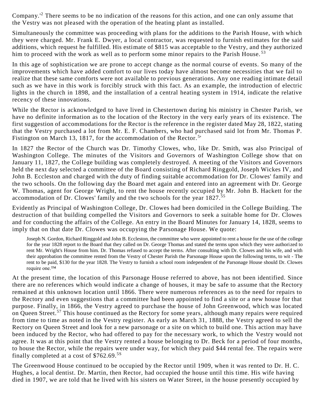Company.'<sup>2</sup> There seems to be no indication of the reasons for this action, and one can only assume that the Vestry was not pleased with the operation of the heating plant as installed.

Simultaneously the committee was proceeding with plans for the additions to the Parish House, with which they were charged. Mr. Frank E. Dwyer, a local contractor, was requested to furnish estimates for the said additions, which request he fulfilled. His estimate of \$815 was acceptable to the Vestry, and they authorized him to proceed with the work as well as to perform some minor repairs to the Parish House.<sup>53</sup>

In this age of sophistication we are prone to accept change as the normal course of events. So many of the improvements which have added comfort to our lives today have almost become necessities that we fail to realize that these same comforts were not available to previous generations. Any one reading intimate detail such as we have in this work is forcibly struck with this fact. As an example, the introduction of electric lights in the church in 1898, and the installation of a central heating system in 1914, indicate the relative recency of these innovations.

While the Rector is acknowledged to have lived in Chestertown during his ministry in Chester Parish, we have no definite information as to the location of the Rectory in the very early years of its existence. The first suggestion of accommodations for the Rector is the reference in the register dated May 28, 1822, stating that the Vestry purchased a lot from Mr. E. F. Chambers, who had purchased said lot from Mr. Thomas P. Fistington on March 13, 1817, for the accommodation of the Rector.<sup>5</sup>'

In 1827 the Rector of the Church was Dr. Timothy Clowes, who, like Dr. Smith, was also Principal of Washington College. The minutes of the Visitors and Governors of Washington College show that on January 11, 1827, the College building was completely destroyed. A meeting of the Visitors and Governors held the next day selected a committee of the Board consisting of Richard Ringgold, Joseph Wickes IV, and John B. Eccleston and charged with the duty of finding suitable accommodation for Dr. Clowes' family and the two schools. On the following day the Board met again and entered into an agreement with Dr. George W. Thomas, agent for George Wright, to rent the house recently occupied by Mr. John B. Hackett for the accommodation of Dr. Clowes' family and the two schools for the year 1827.<sup>55</sup>

Evidently as Principal of Washington College, Dr. Clowes had been domiciled in the College Building. The destruction of that building compelled the Visitors and Governors to seek a suitable home for Dr. Clowes and for conducting the affairs of the College. An entry in the Board Minutes for January 14, 1828, seems to imply that on that date Dr. Clowes was occupying the Parsonage House. We quote:

Joseph N. Gordon, Richard Ringgold and John B. Eccleston, the committee who were appointed to rent a house for the use of the college for the year 1828 report to the Board that they called on Dr. George Thomas and stated the terms upon which they were authorized to rent Mr. Wright's House from him. Dr. Thomas refused to accept the terms. After consulting with Dr. Clowes and his wife, and with their approbation the committee rented from the Vestry of Chester Parish the Parsonage House upon the following terms, to wit - The rent to be paid, \$130 for the year 1828. The Vestry to furnish a school room independent of the Parsonage House should Dr. Clowes require one.™

At the present time, the location of this Parsonage House referred to above, has not been identified. Since there are no references which would indicate a change of houses, it may be safe to assume that the Rectory remained at this unknown location until 1866. There were numerous references as to the need for repairs to the Rectory and even suggestions that a committee had been appointed to find a site or a new house for that purpose. Finally, in 1866, the Vestry agreed to purchase the house of John Greenwood, which was located on Queen Street.<sup>57</sup> This house continued as the Rectory for some years, although many repairs were required from time to time as noted in the Vestry register. As early as March 31, 1888, the Vestry agreed to sell the Rectory on Queen Street and look for a new parsonage or a site on which to build one. This action may have been induced by the Rector, who had offered to pay for the necessary work, to which the Vestry would not agree. It was at this point that the Vestry rented a house be longing to Dr. Beck for a period of four months, to house the Rector, while the repairs were under way, for which they paid \$44 rental fee. The repairs were finally completed at a cost of  $$762.69.^{58}$ 

The Greenwood House continued to be occupied by the Rector until 1909, when it was rented to Dr. H. C. Hughes, a local dentist. Dr. Martin, then Rector, had occupied the house until this time. His wife having died in 1907, we are told that he lived with his sisters on Water Street, in the house presently occupied by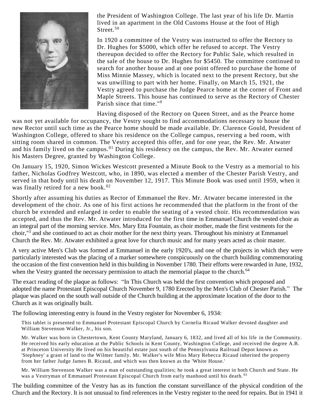

the President of Washington College. The last year of his life Dr. Martin lived in an apartment in the Old Customs House at the foot of High Street.<sup>50</sup>

In 1920 a committee of the Vestry was instructed to offer the Rectory to Dr. Hughes for \$5000, which offer he refused to accept. The Vestry thereupon decided to offer the Rectory for Public Sale, which resulted in the sale of the house to Dr. Hughes for \$5450. The committee continued to search for another house and at one point offered to purchase the home of Miss Minnie Massey, which is located next to the present Rectory, but she was unwilling to part with her home. Finally, on March 15, 1921, the Vestry agreed to purchase the Judge Pearce home at the corner of Front and Maple Streets. This house has continued to serve as the Rectory of Chester Parish since that time."<sup>0</sup>

Having disposed of the Rectory on Queen Street, and as the Pearce home

was not yet available for occupancy, the Vestry sought to find accommodations necessary to house the new Rector until such time as the Pearce home should be made available. Dr. Clarence Gould, President of Washington College, offered to share his residence on the College campus, reserving a bed room, with sitting room shared in common. The Vestry accepted this offer, and for one year, the Rev. Mr. Atwater and his family lived on the campus.<sup>01</sup> During his residency on the campus, the Rev. Mr. Atwater earned his Masters Degree, granted by Washington College.

On January 15, 1920, Simon Wickes Westcott presented a Minute Book to the Vestry as a memorial to his father, Nicholas Godfrey Westcott, who, in 1890, was elected a member of the Chester Parish Vestry, and served in that body until his death on November 12, 1917. This Minute Book was used until 1959, when it was finally retired for a new book. $02$ 

Shortly after assuming his duties as Rector of Emmanuel the Rev. Mr. Atwater became interested in the development of the choir. As one of his first actions he recommended that the platform in the front of the church be extended and enlarged in order to enable the seating of a vested choir. His recommendation was accepted, and thus the Rev. Mr. Atwater introduced for the first time in Emmanuel Church the vested choir as an integral part of the morning service. Mrs. Mary Etta Fountain, as choir mother, made the first vestments for the choir,"<sup>3</sup> and she continued to act as choir mother for the next thirty years. Throughout his ministry at Emmanuel Church the Rev. Mr. Atwater exhibited a great love for church music and for many years acted as choir master.

A very active Men's Club was formed at Emmanuel in the early 1920's, and one of the projects in which they were particularly interested was the placing of a marker somewhere conspicuously on the church building commemorating the occasion of the first convention held in this building in November 1780. Their efforts were rewarded in June, 1932, when the Vestry granted the necessary permission to attach the memorial plaque to the church.<sup>64</sup>

The exact reading of the plaque as follows: "In This Church was held the first convention which proposed and adopted the name Protestant Episcopal Church November 9, 1780 Erected by the Men's Club of Chester Parish." The plaque was placed on the south wall outside of the Church building at the approximate location of the door to the Church as it was originally built.

The following interesting entry is found in the Vestry register for November 6, 1934:

This tablet is presented to Emmanuel Protestant Episcopal Church by Cornelia Ricaud Walker devoted daughter and William Stevenson Walker, Jr., his son.

Mr. Walker was born in Chestertown, Kent County Maryland, January 6, 1832, and lived all of his life in the Community. He received his early education at the Public Schools in Kent County, Washington College, and received the degree A.B. at Princeton University He lived on his beautiful estate just south of the Pennsylvania Railroad Depot known as 'Stephney' a grant of land to the Wilmer family. Mr. Walker's wife Miss Mary Rebecca Ricaud inherited the property from her father Judge James B. Ricaud, and which was then known as the 'White House.'

Mr. William Stevenson Walker was a man of outstanding qualities; he took a great interest in both Church and State. He was a Vestryman of Emmanuel Protestant Episcopal Church from early manhood until his death.<sup>03</sup>

The building committee of the Vestry has as its function the constant surveillance of the physical condition of the Church and the Rectory. It is not unusual to find references in the Vestry register to the need for repairs. But in 1941 it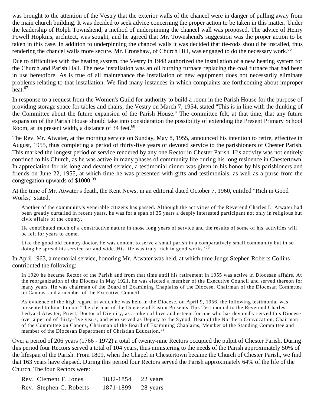was brought to the attention of the Vestry that the exterior walls of the chancel were in danger of pulling away from the main church building. It was decided to seek advice concerning the proper action to be taken in this matter. Under the leadership of Rolph Townshend, a method of underpinning the chancel wall was proposed. The advice of Henry Powell Hopkins, architect, was sought, and he agreed that Mr. Townshend's suggestion was the proper action to be taken in this case. In addition to underpinning the chancel walls it was decided that tie-rods should be installed, thus rendering the chancel walls more secure. Mr. Cronshaw, of Church Hill, was engaged to do the necessary work.<sup>66</sup>

Due to difficulties with the heating system, the Vestry in 1948 authorized the installation of a new heating system for the Church and Parish Hall. The new installation was an oil burning furnace replacing the coal furnace that had been in use heretofore. As is true of all maintenance the installation of new equipment does not necessarily eliminate problems relating to that installation. We find many instances in which complaints are forthcoming about improper heat. $67$ 

In response to a request from the Women's Guild for authority to build a room in the Parish House for the purpose of providing storage space for tables and chairs, the Vestry on March 7, 1954, stated "This is in line with the thinking of the Committee about the future expansion of the Parish House." The committee felt, at that time, that any future expansion of the Parish House should take into consideration the possibility of extending the Present Primary School Room, at its present width, a distance of 34 feet.<sup>68</sup>

The Rev. Mr. Atwater, at the morning service on Sunday, May 8, 1955, announced his intention to retire, effective in August, 1955, thus completing a period of thirty-five years of devoted service to the parishioners of Chester Parish. This marked the longest period of service rendered by any one Rector in Chester Parish. His activity was not entirely confined to his Church, as he was active in many phases of community life during his long residence in Chestertown. In appreciation for his long and devoted service, a testimonial dinner was given in his honor by his parishioners and friends on June 22, 1955, at which time he was presented with gifts and testimonials, as well as a purse from the congregation upwards of  $$1000.<sup>09</sup>$ 

At the time of Mr. Atwater's death, the Kent News, in an editorial dated October 7, 1960, entitled "Rich in Good Works," stated,

Another of the community's venerable citizens has passed. Although the activities of the Reverend Charles L. Atwater had been greatly curtailed in recent years, he was for a span of 35 years a deeply interested participant not only in religious but civic affairs of the county.

He contributed much of a constructive nature in those long years of service and the results of some of his activities will be felt for years to come.

Like the good old country doctor, he was content to serve a small parish in a comparatively small community but in so doing he spread his service far and wide. His life was truly 'rich in good works.'<sup>70</sup>

In April 1963, a memorial service, honoring Mr. Atwater was held, at which time Judge Stephen Roberts Collins contributed the following:

In 1920 he became Rector of the Parish and from that time until his retirement in 1955 was active in Diocesan affairs. At the reorganization of the Diocese in May 1921, he was elected a member of the Executive Council and served thereon for many years. He was chairman of the Board of Examining Chaplains of the Diocese, Chairman of the Diocesan Commttee on Canons, and a member of the Executive Council.

As evidence of the high regard in which he was held in the Diocese, on April 9, 1956, the following testimonial was presented to him, I quote 'The clericus of the Diocese of Easton Presents This Testimonial to the Reverend Charles Ledyard Atwater, Priest, Doctor of Divinity, as a token of love and esteem for one who has devotedly served this Diocese over a period of thirty-five years, and who served as Deputy to the Synod, Dean of the Northern Convocation, Chairman of the Committee on Canons, Chairman of the Board of Examining Chaplains, Member of the Standing Committee and member of the Diocesan Department of Christian Education.<sup>71</sup>

Over a period of 206 years (1766 - 1972) a total of twenty-nine Rectors occupied the pulpit of Chester Parish. During this period four Rectors served a total of 104 years, thus ministering to the needs of the Parish approximately 50% of the lifespan of the Parish. From 1809, when the Chapel in Chestertown became the Church of Chester Parish, we find that 163 years have elapsed. During this period four Rectors served the Parish approximately 64% of the life of the Church. The four Rectors were:

| Rev. Clement F. Jones   | 1832-1854 | 22 years |
|-------------------------|-----------|----------|
| Rev. Stephen C. Roberts | 1871-1899 | 28 years |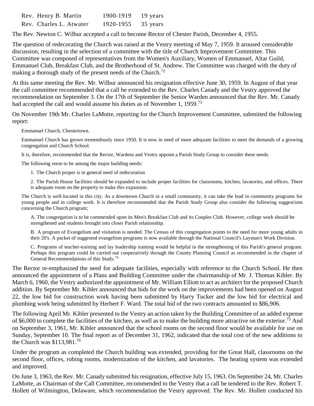| Rev. Henry B. Martin    | 1900-1919          | 19 years |
|-------------------------|--------------------|----------|
| Rev. Charles L. Atwater | 1920-1955 35 years |          |

The Rev. Newton C. Wilbur accepted a call to become Rector of Chester Parish, December 4, 1955.

The question of redecorating the Church was raised at the Vestry meeting of May 7, 1959. It aroused considerable discussion, resulting in the selection of a committee with the title of Church Improvement Committee. This Committee was composed of representatives from the Women's Auxiliary, Women of Emmanuel, Altar Guild, Emmanuel Club, Breakfast Club, and the Brotherhood of St. Andrew. The Committee was charged with the duty of making a thorough study of the present needs of the Church.<sup>72</sup>

At this same meeting the Rev. Mr. Wilbur announced his resignation effective June 30, 1959. In August of that year the call committee recommended that a call be extended to the Rev. Charles Canady and the Vestry approved the recommendation on September 3. On the 17th of September the Senior Warden announced that the Rev. Mr. Canady had accepted the call and would assume his duties as of November 1, 1959.<sup>73</sup>

On November 19th Mr. Charles LaMotte, reporting for the Church Improvement Committee, submitted the following report:

Emmanuel Church, Chestertown.

Emmanuel Church has grown tremendously since 1950. It is now in need of more adequate facilities to meet the demands of a growing congregation and Church School.

It is, therefore, recommended that the Rector, Wardens and Vestry appoint a Parish Study Group to consider these needs.

The following seem to be among the major building needs:

1. The Church proper is in general need of redecoration

2. The Parish House facilities should be expanded to include proper facilities for classrooms, kitchen, lavatories, and offices. There is adequate room on the property to make this expansion.

The Church is well-located in this city. As a downtown Church in a small community, it can take the lead in community programs for young people and in college work. It is therefore recommended that the Parish Study Group also consider the following suggestions concerning the Church program;

A. The congregation is to be commended upon its Men's Breakfast Club and its Couples Club. However, college work should be strengthened and students brought into closer Parish relationship.

B. A program of Evangelism and visitation is needed. The Census of this congregation points to the need for more young adults in their 20's. A packet of suggested evangelism programs is now available through the National Council's Layman's Work Division.

C. Programs of teacher-training and lay leadership training would be helpful in the strengthening of this Parish's general program. Perhaps this program could be carried out cooperatively through the County Planning Council as recommended in the chapter of General Recommendations of this Study.<sup>74</sup>

The Rector re-emphasized the need for adequate facilities, especially with reference to the Church School. He then announced the appointment of a Plans and Building Committee under the chairmanship of Mr. J. Thomas Kibler. By March 6, 1960, the Vestry authorized the appointment of Mr. William Elliott to act as architect for the proposed Church addition. By September Mr. Kibler announced that bids for the work on the improvements had been opened on August 22, the low bid for construction work having been submitted by Harry Tucker and the low bid for electrical and plumbing work being submitted by Herbert F. Ward. The total bid of the two contracts amounted to \$86,906.

The following April Mr. Kibler presented to the Vestry an action taken by the Building Committee of an added expense of \$6,000 to complete the facilities of the kitchen, as well as to make the building more attractive on the exterior.<sup>75</sup> And on September 3, 1961, Mr. Kibler announced that the school rooms on the second floor would be available for use on Sunday, September 10. The final report as of December 31, 1962, indicated that the total cost of the new additions to the Church was \$113,981.<sup>76</sup>

Under the program as completed the Church building was extended, providing for the Great Hall, classrooms on the second floor, offices, robing rooms, modernization of the kitchen, and lavatories. The heating system was extended and improved.

On June 3, 1963, the Rev. Mr. Canady submitted his resignation, effective July 15, 1963. On September 24, Mr. Charles LaMotte, as Chairman of the Call Committee, recommended to the Vestry that a call be tendered to the Rev. Robert T. Hollett of Wilmington, Delaware, which recommendation the Vestry approved. The Rev. Mr. Hollett conducted his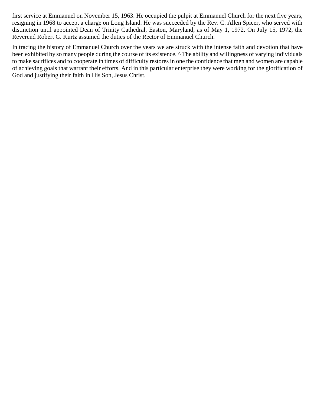first service at Emmanuel on November 15, 1963. He occupied the pulpit at Emmanuel Church for the next five years, resigning in 1968 to accept a charge on Long Island. He was succeeded by the Rev. C. Allen Spicer, who served with distinction until appointed Dean of Trinity Cathedral, Easton, Maryland, as of May 1, 1972. On July 15, 1972, the Reverend Robert G. Kurtz assumed the duties of the Rector of Emmanuel Church.

In tracing the history of Emmanuel Church over the years we are struck with the intense faith and devotion that have been exhibited by so many people during the course of its existence. ^ The ability and willingness of varying individuals to make sacrifices and to cooperate in times of difficulty restores in one the confidence that men and women are capable of achieving goals that warrant their efforts. And in this particular enterprise they were working for the glorification of God and justifying their faith in His Son, Jesus Christ.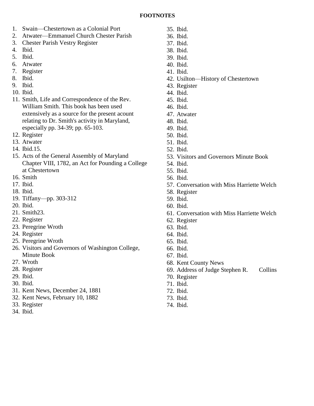- 1. Swain—Chestertown as a Colonial Port
- 2. Atwater—Emmanuel Church Chester Parish
- 3. Chester Parish Vestry Register
- 4. Ibid.
- 5. Ibid.
- 6. Atwater
- 7. Register
- 8. Ibid.
- 9. Ibid.
- 10. Ibid.
- 11. Smith, Life and Correspondence of the Rev. William Smith. This book has been used extensively as a source for the present acount relating to Dr. Smith's activity in Maryland, especially pp. 34-39; pp. 65-103.
- 12. Register
- 13. Atwater
- 14. Ibid.15.
- 15. Acts of the General Assembly of Maryland Chapter VIII, 1782, an Act for Pounding a College at Chestertown
- 16. Smith
- 17. Ibid.
- 18. Ibid.
- 19. Tiffany—pp. 303-312
- 20. Ibid.
- 21. Smith23.
- 22. Register
- 23. Peregrine Wroth
- 24. Register
- 25. Peregrine Wroth
- 26. Visitors and Governors of Washington College, Minute Book
- 27. Wroth
- 28. Register
- 29. Ibid.
- 30. Ibid.
- 31. Kent News, December 24, 1881
- 32. Kent News, February 10, 1882
- 33. Register
- 34. Ibid.
- 35. Ibid.
- 36. Ibid. 37. Ibid.
- 38. Ibid.
- 39. Ibid.
- 40. Ibid.
- 41. Ibid.
- 42. Usilton—History of Chestertown
- 43. Register
- 44. Ibid.
- 45. Ibid.
- 46. Ibid.
- 47. Atwater
- 48. Ibid.
- 49. Ibid.
- 50. Ibid.
- 51. Ibid.
- 52. Ibid.
- 53. Visitors and Governors Minute Book
- 54. Ibid.
- 55. Ibid.
- 56. Ibid.
- 57. Conversation with Miss Harriette Welch
- 58. Register
- 59. Ibid.
- 60. Ibid.
- 61. Conversation with Miss Harriette Welch
- 62. Register
- 63. Ibid.
- 64. Ibid.
- 65. Ibid.
- 66. Ibid.
- 67. Ibid.
- 68. Kent County News
- 69. Address of Judge Stephen R. Collins
- 70. Register
- 71. Ibid.
- 72. Ibid.
- 73. Ibid.
- 74. Ibid.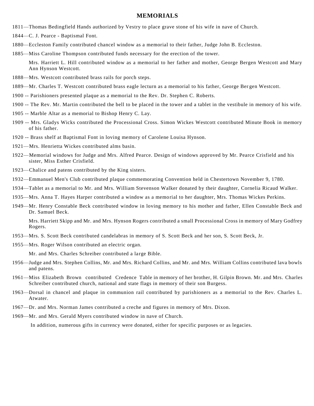#### **MEMORIALS**

- 1811—Thomas Bedingfield Hands authorized by Vestry to place grave stone of his wife in nave of Church.
- 1844—C. J. Pearce Baptismal Font.
- 1880—Eccleston Family contributed chancel window as a memorial to their father, Judge John B. Eccleston.
- 1885—Miss Caroline Thompson contributed funds necessary for the erection of the tower.

Mrs. Harriett L. Hill contributed window as a memorial to her father and mother, George Bergen Westcott and Mary Ann Hynson Westcott.

- 1888—Mrs. Westcott contributed brass rails for porch steps.
- 1889—Mr. Charles T. Westcott contributed brass eagle lecturn as a memorial to his father, George Ber gen Westcott.
- 1900 -- Parishioners presented plaque as a memorial to the Rev. Dr. Stephen C. Roberts.
- 1900 -- The Rev. Mr. Martin contributed the bell to be placed in the tower and a tablet in the vestibule in memory of his wife.
- 1905 -- Marble Altar as a memorial to Bishop Henry C. Lay.
- 1909 -- Mrs. Gladys Wicks contributed the Processional Cross. Simon Wickes Westcott contributed Minute Book in memory of his father.
- 1920 -- Brass shelf at Baptismal Font in loving memory of Carolene Louisa Hynson.
- 1921—Mrs. Henrietta Wickes contributed alms basin.
- 1922—Memorial windows for Judge and Mrs. Alfred Pearce. Design of windows approved by Mr. Pearce Crisfield and his sister, Miss Esther Crisfield.
- 1923—Chalice and patens contributed by the King sisters.
- 1932—Emmanuel Men's Club contributed plaque commemorating Convention held in Chestertown November 9, 1780.
- 1934—Tablet as a memorial to Mr. and Mrs. William Stevenson Walker donated by their daughter, Cornelia Ricaud Walker.
- 1935—Mrs. Anna T. Hayes Harper contributed a window as a memorial to her daughter, Mrs. Thomas Wickes Perkins.
- 1949—Mr. Henry Constable Beck contributed window in loving memory to his mother and father, Ellen Constable Beck and Dr. Samuel Beck.

Mrs. Harriett Skipp and Mr. and Mrs. Hynson Rogers contributed a small Processional Cross in memory of Mary Godfrey Rogers.

- 1953—Mrs. S. Scott Beck contributed candelabras in memory of S. Scott Beck and her son, S. Scott Beck, Jr.
- 1955—Mrs. Roger Wilson contributed an electric organ.

Mr. and Mrs. Charles Schreiber contributed a large Bible.

- 1956—Judge and Mrs. Stephen Collins, Mr. and Mrs. Richard Collins, and Mr. and Mrs. William Collins contributed lava bowls and patens.
- 1961—Miss Elizabeth Brown contributed Credence Table in memory of her brother, H. Gilpin Brown. Mr. and Mrs. Charles Schreiber contributed church, national and state flags in memory of their son Burgess.
- 1963—Dorsal in chancel and plaque in communion rail contributed by parishioners as a memorial to the Rev. Charles L. Atwater.
- 1967—Dr. and Mrs. Norman James contributed a creche and figures in memory of Mrs. Dixon.
- 1969—Mr. and Mrs. Gerald Myers contributed window in nave of Church.

In addition, numerous gifts in currency were donated, either for specific purposes or as legacies.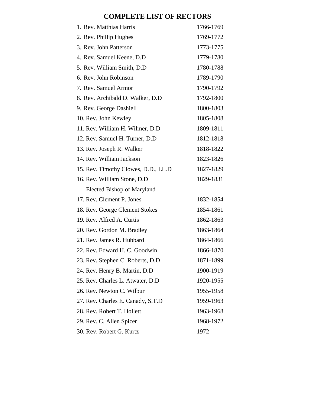# **COMPLETE LIST OF RECTORS**

| 1. Rev. Matthias Harris             | 1766-1769 |
|-------------------------------------|-----------|
| 2. Rev. Phillip Hughes              | 1769-1772 |
| 3. Rev. John Patterson              | 1773-1775 |
| 4. Rev. Samuel Keene, D.D.          | 1779-1780 |
| 5. Rev. William Smith, D.D.         | 1780-1788 |
| 6. Rev. John Robinson               | 1789-1790 |
| 7. Rev. Samuel Armor                | 1790-1792 |
| 8. Rev. Archibald D. Walker, D.D    | 1792-1800 |
| 9. Rev. George Dashiell             | 1800-1803 |
| 10. Rev. John Kewley                | 1805-1808 |
| 11. Rev. William H. Wilmer, D.D     | 1809-1811 |
| 12. Rev. Samuel H. Turner, D.D.     | 1812-1818 |
| 13. Rev. Joseph R. Walker           | 1818-1822 |
| 14. Rev. William Jackson            | 1823-1826 |
| 15. Rev. Timothy Clowes, D.D., LL.D | 1827-1829 |
| 16. Rev. William Stone, D.D.        | 1829-1831 |
| Elected Bishop of Maryland          |           |
| 17. Rev. Clement P. Jones           | 1832-1854 |
| 18. Rev. George Clement Stokes      | 1854-1861 |
| 19. Rev. Alfred A. Curtis           | 1862-1863 |
| 20. Rev. Gordon M. Bradley          | 1863-1864 |
| 21. Rev. James R. Hubbard           | 1864-1866 |
| 22. Rev. Edward H. C. Goodwin       | 1866-1870 |
| 23. Rev. Stephen C. Roberts, D.D.   | 1871-1899 |
| 24. Rev. Henry B. Martin, D.D.      | 1900-1919 |
| 25. Rev. Charles L. Atwater, D.D.   | 1920-1955 |
| 26. Rev. Newton C. Wilbur           | 1955-1958 |
| 27. Rev. Charles E. Canady, S.T.D   | 1959-1963 |
| 28. Rev. Robert T. Hollett          | 1963-1968 |
| 29. Rev. C. Allen Spicer            | 1968-1972 |
| 30. Rev. Robert G. Kurtz            | 1972      |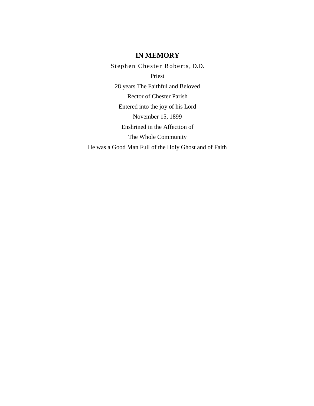#### **IN MEMORY**

Stephen Chester Roberts, D.D. Priest 28 years The Faithful and Beloved Rector of Chester Parish Entered into the joy of his Lord November 15, 1899 Enshrined in the Affection of The Whole Community He was a Good Man Full of the Holy Ghost and of Faith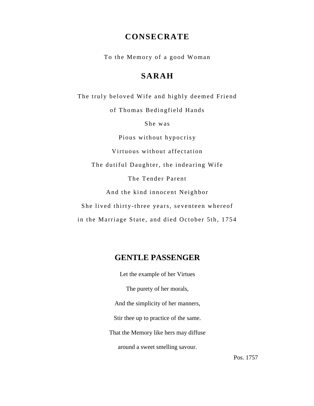# **CONSECRATE**

To the Memory of a good Woman

# **SARAH**

The truly beloved Wife and highly deemed Friend of Thomas Bedingfield Hands She was Pious without hypocrisy Virtuous without affectation The dutiful Daughter, the indearing Wife The Tender Parent And the kind innocent Neighbor She lived thirty-three years, seventeen whereof in the Marriage State, and died October 5th, 1754

# **GENTLE PASSENGER**

Let the example of her Virtues The purety of her morals, And the simplicity of her manners, Stir thee up to practice of the same. That the Memory like hers may diffuse around a sweet smelling savour.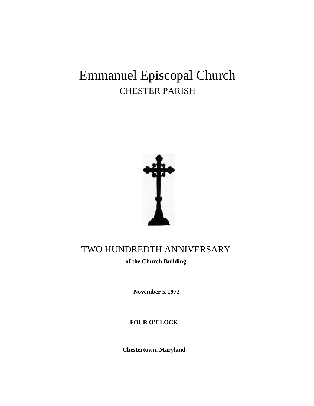# Emmanuel Episcopal Church CHESTER PARISH



# TWO HUNDREDTH ANNIVERSARY

**of the Church Building**

**November 5, 1972**

**FOUR O'CLOCK**

**Chestertown, Maryland**